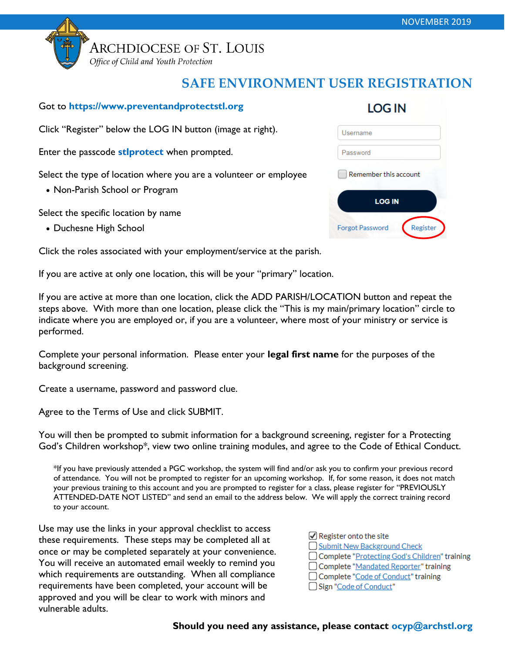

Office of Child and Youth Protection

## **SAFE ENVIRONMENT USER REGISTRATION**

#### Got to **https://www.preventandprotectstl.org**

Click "Register" below the LOG IN button (image at right).

Enter the passcode **stlprotect** when prompted.

Select the type of location where you are a volunteer or employee

Non-Parish School or Program

Select the specific location by name

• Duchesne High School

Click the roles associated with your employment/service at the parish.

If you are active at only one location, this will be your "primary" location.

If you are active at more than one location, click the ADD PARISH/LOCATION button and repeat the steps above. With more than one location, please click the "This is my main/primary location" circle to indicate where you are employed or, if you are a volunteer, where most of your ministry or service is performed.

Complete your personal information. Please enter your **legal first name** for the purposes of the background screening.

Create a username, password and password clue.

Agree to the Terms of Use and click SUBMIT.

You will then be prompted to submit information for a background screening, register for a Protecting God's Children workshop\*, view two online training modules, and agree to the Code of Ethical Conduct.

\*If you have previously attended a PGC workshop, the system will find and/or ask you to confirm your previous record of attendance. You will not be prompted to register for an upcoming workshop. If, for some reason, it does not match your previous training to this account and you are prompted to register for a class, please register for "PREVIOUSLY ATTENDED-DATE NOT LISTED" and send an email to the address below. We will apply the correct training record to your account.

Use may use the links in your approval checklist to access these requirements. These steps may be completed all at once or may be completed separately at your convenience. You will receive an automated email weekly to remind you which requirements are outstanding. When all compliance requirements have been completed, your account will be approved and you will be clear to work with minors and vulnerable adults.

| $\sqrt{\phantom{a}}$ Register onto the site     |
|-------------------------------------------------|
| Submit New Background Check                     |
| □ Complete "Protecting God's Children" training |
| □ Complete "Mandated Reporter" training         |
| □ Complete "Code of Conduct" training           |
| □ Sign "Code of Conduct"                        |

## **LOG IN**

| Username              |  |
|-----------------------|--|
| Password              |  |
| Remember this account |  |
|                       |  |
| <b>LOG IN</b>         |  |

**Should you need any assistance, please contact ocyp@archstl.org**